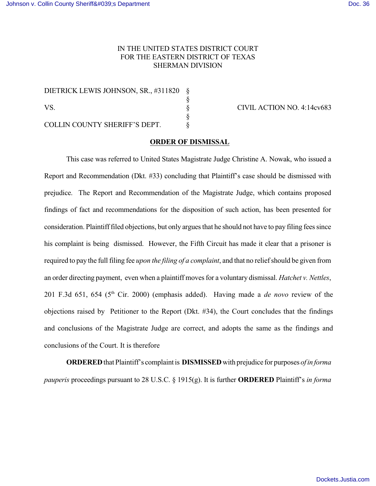## IN THE UNITED STATES DISTRICT COURT FOR THE EASTERN DISTRICT OF TEXAS SHERMAN DIVISION

DIETRICK LEWIS JOHNSON, SR., #311820 § § VS. § CIVIL ACTION NO. 4:14cv683 § COLLIN COUNTY SHERIFF'S DEPT.  $§$ 

## **ORDER OF DISMISSAL**

This case was referred to United States Magistrate Judge Christine A. Nowak, who issued a Report and Recommendation (Dkt. #33) concluding that Plaintiff's case should be dismissed with prejudice. The Report and Recommendation of the Magistrate Judge, which contains proposed findings of fact and recommendations for the disposition of such action, has been presented for consideration. Plaintiff filed objections, but only argues that he should not have to pay filing fees since his complaint is being dismissed. However, the Fifth Circuit has made it clear that a prisoner is required to pay the full filing fee *upon the filing of a complaint*, and that no relief should be given from an order directing payment, even when a plaintiff moves for a voluntary dismissal. *Hatchet v. Nettles*, 201 F.3d 651, 654 ( $5<sup>th</sup>$  Cir. 2000) (emphasis added). Having made a *de novo* review of the objections raised by Petitioner to the Report (Dkt. #34), the Court concludes that the findings and conclusions of the Magistrate Judge are correct, and adopts the same as the findings and conclusions of the Court. It is therefore

**ORDERED** that Plaintiff's complaint is **DISMISSED** with prejudice for purposes *of in forma pauperis* proceedings pursuant to 28 U.S.C. § 1915(g). It is further **ORDERED** Plaintiff's *in forma*